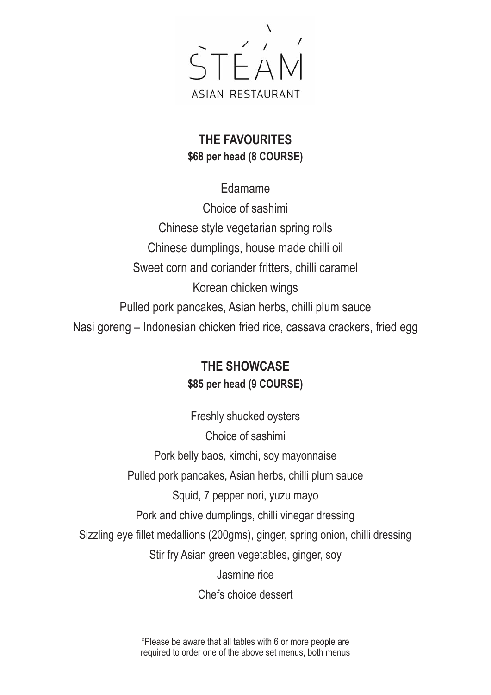

### **THE FAVOURITES \$68 per head (8 COURSE)**

Edamame Choice of sashimi Chinese style vegetarian spring rolls Chinese dumplings, house made chilli oil Sweet corn and coriander fritters, chilli caramel Korean chicken wings Pulled pork pancakes, Asian herbs, chilli plum sauce Nasi goreng – Indonesian chicken fried rice, cassava crackers, fried egg

## **THE SHOWCASE \$85 per head (9 COURSE)**

Freshly shucked oysters Choice of sashimi Pork belly baos, kimchi, soy mayonnaise Pulled pork pancakes, Asian herbs, chilli plum sauce Squid, 7 pepper nori, yuzu mayo Pork and chive dumplings, chilli vinegar dressing Sizzling eye fillet medallions (200gms), ginger, spring onion, chilli dressing Stir fry Asian green vegetables, ginger, soy Jasmine rice Chefs choice dessert

> \*Please be aware that all tables with 6 or more people are required to order one of the above set menus, both menus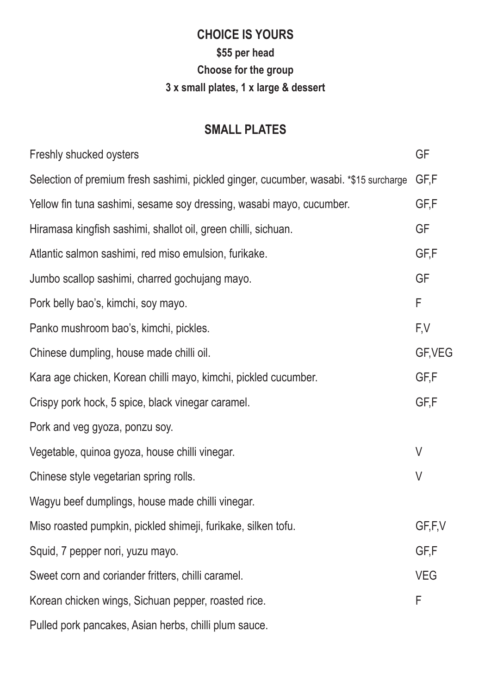# **CHOICE IS YOURS \$55 per head Choose for the group 3 x small plates, 1 x large & dessert**

### **SMALL PLATES**

| Freshly shucked oysters                                                               | <b>GF</b>  |
|---------------------------------------------------------------------------------------|------------|
| Selection of premium fresh sashimi, pickled ginger, cucumber, wasabi. *\$15 surcharge | GF,F       |
| Yellow fin tuna sashimi, sesame soy dressing, wasabi mayo, cucumber.                  | GF,F       |
| Hiramasa kingfish sashimi, shallot oil, green chilli, sichuan.                        | GF         |
| Atlantic salmon sashimi, red miso emulsion, furikake.                                 | GF,F       |
| Jumbo scallop sashimi, charred gochujang mayo.                                        | <b>GF</b>  |
| Pork belly bao's, kimchi, soy mayo.                                                   | F          |
| Panko mushroom bao's, kimchi, pickles.                                                | F,V        |
| Chinese dumpling, house made chilli oil.                                              | GF, VEG    |
| Kara age chicken, Korean chilli mayo, kimchi, pickled cucumber.                       | GF,F       |
| Crispy pork hock, 5 spice, black vinegar caramel.                                     | GF,F       |
| Pork and veg gyoza, ponzu soy.                                                        |            |
| Vegetable, quinoa gyoza, house chilli vinegar.                                        | $\vee$     |
| Chinese style vegetarian spring rolls.                                                | $\vee$     |
| Wagyu beef dumplings, house made chilli vinegar.                                      |            |
| Miso roasted pumpkin, pickled shimeji, furikake, silken tofu.                         | GF,F,V     |
| Squid, 7 pepper nori, yuzu mayo.                                                      | GF,F       |
| Sweet corn and coriander fritters, chilli caramel.                                    | <b>VEG</b> |
| Korean chicken wings, Sichuan pepper, roasted rice.                                   | F          |
| Pulled pork pancakes, Asian herbs, chilli plum sauce.                                 |            |